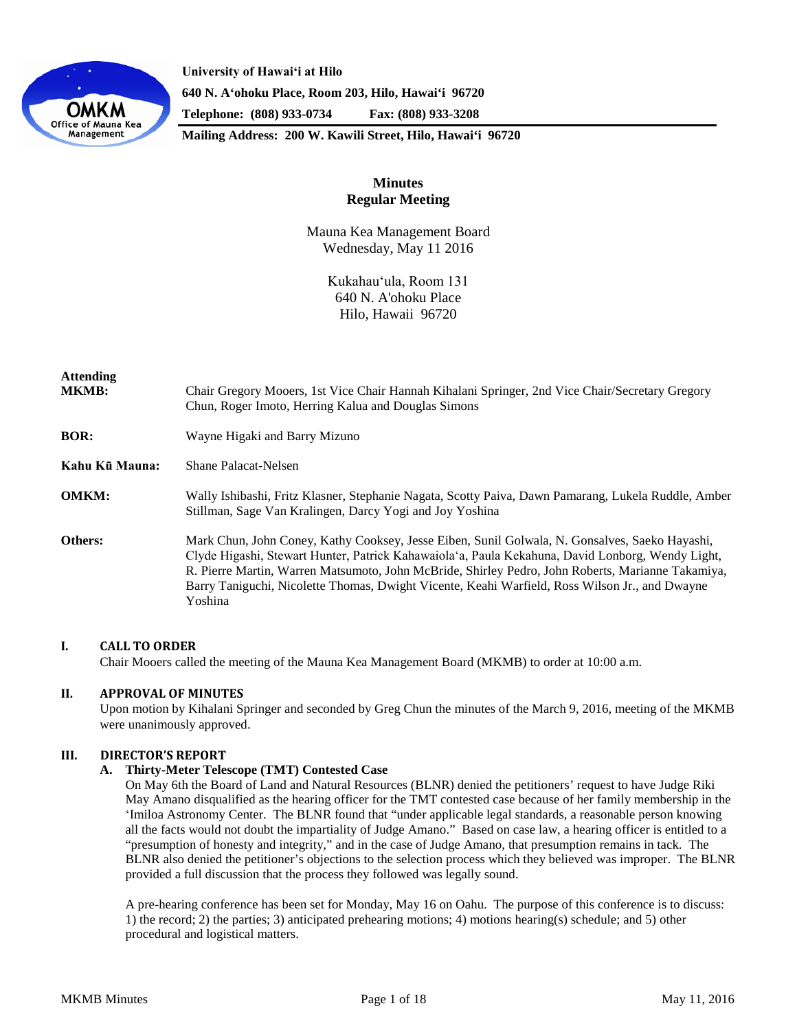

**University of Hawaiʻi at Hilo 640 N. A'ohoku Place, Room 203, Hilo, Hawai'i 96720 Telephone: (808) 933-0734 Fax: (808) 933-3208**

**Mailing Address: 200 W. Kawili Street, Hilo, Hawai'i 96720**

# **Minutes Regular Meeting**

Mauna Kea Management Board Wednesday, May 11 2016

> Kukahauʻula, Room 131 640 N. A'ohoku Place Hilo, Hawaii 96720

| <b>Attending</b><br><b>MKMB:</b> | Chair Gregory Mooers, 1st Vice Chair Hannah Kihalani Springer, 2nd Vice Chair/Secretary Gregory<br>Chun, Roger Imoto, Herring Kalua and Douglas Simons                                                                                                                                                                                                                                                               |
|----------------------------------|----------------------------------------------------------------------------------------------------------------------------------------------------------------------------------------------------------------------------------------------------------------------------------------------------------------------------------------------------------------------------------------------------------------------|
| <b>BOR:</b>                      | Wayne Higaki and Barry Mizuno                                                                                                                                                                                                                                                                                                                                                                                        |
| Kahu Kū Mauna:                   | Shane Palacat-Nelsen                                                                                                                                                                                                                                                                                                                                                                                                 |
| <b>OMKM:</b>                     | Wally Ishibashi, Fritz Klasner, Stephanie Nagata, Scotty Paiva, Dawn Pamarang, Lukela Ruddle, Amber<br>Stillman, Sage Van Kralingen, Darcy Yogi and Joy Yoshina                                                                                                                                                                                                                                                      |
| Others:                          | Mark Chun, John Coney, Kathy Cooksey, Jesse Eiben, Sunil Golwala, N. Gonsalves, Saeko Hayashi,<br>Clyde Higashi, Stewart Hunter, Patrick Kahawaiola'a, Paula Kekahuna, David Lonborg, Wendy Light,<br>R. Pierre Martin, Warren Matsumoto, John McBride, Shirley Pedro, John Roberts, Marianne Takamiya,<br>Barry Taniguchi, Nicolette Thomas, Dwight Vicente, Keahi Warfield, Ross Wilson Jr., and Dwayne<br>Yoshina |

# **I. CALL TO ORDER**

Chair Mooers called the meeting of the Mauna Kea Management Board (MKMB) to order at 10:00 a.m.

# **II. APPROVAL OF MINUTES**

Upon motion by Kihalani Springer and seconded by Greg Chun the minutes of the March 9, 2016, meeting of the MKMB were unanimously approved.

# **III. DIRECTOR'S REPORT**

## **A. Thirty-Meter Telescope (TMT) Contested Case**

On May 6th the Board of Land and Natural Resources (BLNR) denied the petitioners' request to have Judge Riki May Amano disqualified as the hearing officer for the TMT contested case because of her family membership in the ʻImiloa Astronomy Center. The BLNR found that "under applicable legal standards, a reasonable person knowing all the facts would not doubt the impartiality of Judge Amano." Based on case law, a hearing officer is entitled to a "presumption of honesty and integrity," and in the case of Judge Amano, that presumption remains in tack. The BLNR also denied the petitioner's objections to the selection process which they believed was improper. The BLNR provided a full discussion that the process they followed was legally sound.

A pre-hearing conference has been set for Monday, May 16 on Oahu. The purpose of this conference is to discuss: 1) the record; 2) the parties; 3) anticipated prehearing motions; 4) motions hearing(s) schedule; and 5) other procedural and logistical matters.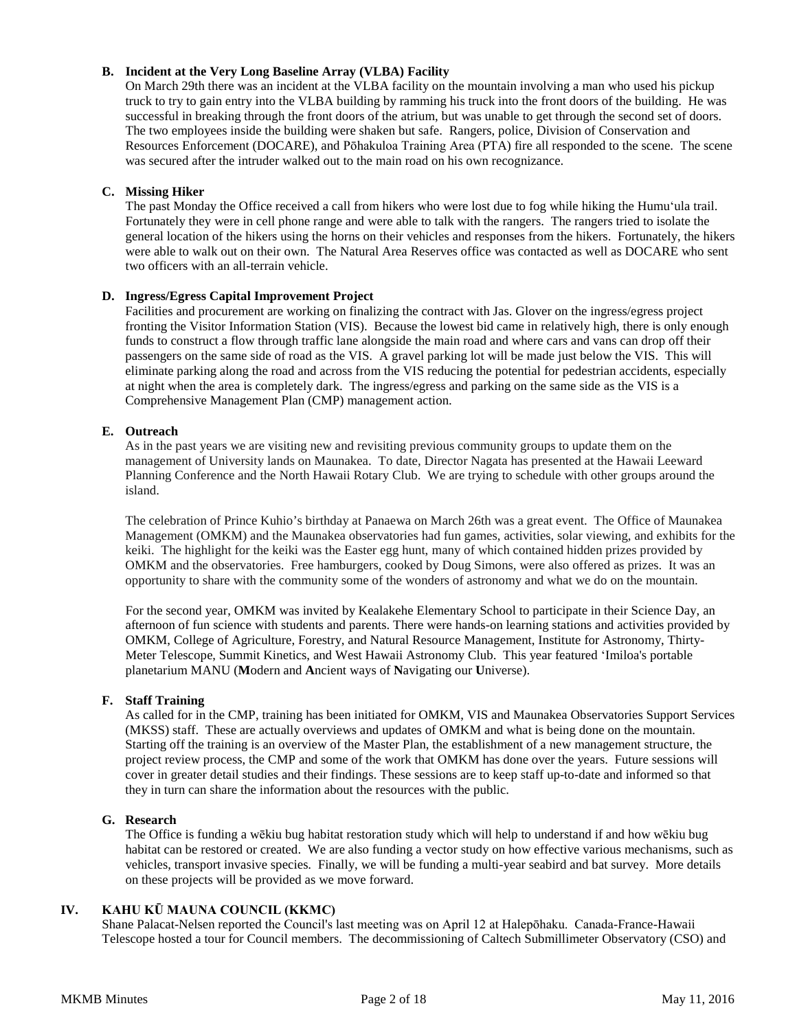# **B. Incident at the Very Long Baseline Array (VLBA) Facility**

On March 29th there was an incident at the VLBA facility on the mountain involving a man who used his pickup truck to try to gain entry into the VLBA building by ramming his truck into the front doors of the building. He was successful in breaking through the front doors of the atrium, but was unable to get through the second set of doors. The two employees inside the building were shaken but safe. Rangers, police, Division of Conservation and Resources Enforcement (DOCARE), and Pōhakuloa Training Area (PTA) fire all responded to the scene. The scene was secured after the intruder walked out to the main road on his own recognizance.

# **C. Missing Hiker**

The past Monday the Office received a call from hikers who were lost due to fog while hiking the Humuʻula trail. Fortunately they were in cell phone range and were able to talk with the rangers. The rangers tried to isolate the general location of the hikers using the horns on their vehicles and responses from the hikers. Fortunately, the hikers were able to walk out on their own. The Natural Area Reserves office was contacted as well as DOCARE who sent two officers with an all-terrain vehicle.

# **D. Ingress/Egress Capital Improvement Project**

Facilities and procurement are working on finalizing the contract with Jas. Glover on the ingress/egress project fronting the Visitor Information Station (VIS). Because the lowest bid came in relatively high, there is only enough funds to construct a flow through traffic lane alongside the main road and where cars and vans can drop off their passengers on the same side of road as the VIS. A gravel parking lot will be made just below the VIS. This will eliminate parking along the road and across from the VIS reducing the potential for pedestrian accidents, especially at night when the area is completely dark. The ingress/egress and parking on the same side as the VIS is a Comprehensive Management Plan (CMP) management action.

# **E. Outreach**

As in the past years we are visiting new and revisiting previous community groups to update them on the management of University lands on Maunakea. To date, Director Nagata has presented at the Hawaii Leeward Planning Conference and the North Hawaii Rotary Club. We are trying to schedule with other groups around the island.

The celebration of Prince Kuhio's birthday at Panaewa on March 26th was a great event. The Office of Maunakea Management (OMKM) and the Maunakea observatories had fun games, activities, solar viewing, and exhibits for the keiki. The highlight for the keiki was the Easter egg hunt, many of which contained hidden prizes provided by OMKM and the observatories. Free hamburgers, cooked by Doug Simons, were also offered as prizes. It was an opportunity to share with the community some of the wonders of astronomy and what we do on the mountain.

For the second year, OMKM was invited by Kealakehe Elementary School to participate in their Science Day, an afternoon of fun science with students and parents. There were hands-on learning stations and activities provided by OMKM, College of Agriculture, Forestry, and Natural Resource Management, Institute for Astronomy, Thirty-Meter Telescope, Summit Kinetics, and West Hawaii Astronomy Club. This year featured ʻImiloa's portable planetarium MANU (**M**odern and **A**ncient ways of **N**avigating our **U**niverse).

# **F. Staff Training**

As called for in the CMP, training has been initiated for OMKM, VIS and Maunakea Observatories Support Services (MKSS) staff. These are actually overviews and updates of OMKM and what is being done on the mountain. Starting off the training is an overview of the Master Plan, the establishment of a new management structure, the project review process, the CMP and some of the work that OMKM has done over the years. Future sessions will cover in greater detail studies and their findings. These sessions are to keep staff up-to-date and informed so that they in turn can share the information about the resources with the public.

## **G. Research**

The Office is funding a wēkiu bug habitat restoration study which will help to understand if and how wēkiu bug habitat can be restored or created. We are also funding a vector study on how effective various mechanisms, such as vehicles, transport invasive species. Finally, we will be funding a multi-year seabird and bat survey. More details on these projects will be provided as we move forward.

# **IV. KAHU KŪ MAUNA COUNCIL (KKMC)**

Shane Palacat-Nelsen reported the Council's last meeting was on April 12 at Halepōhaku. Canada-France-Hawaii Telescope hosted a tour for Council members. The decommissioning of Caltech Submillimeter Observatory (CSO) and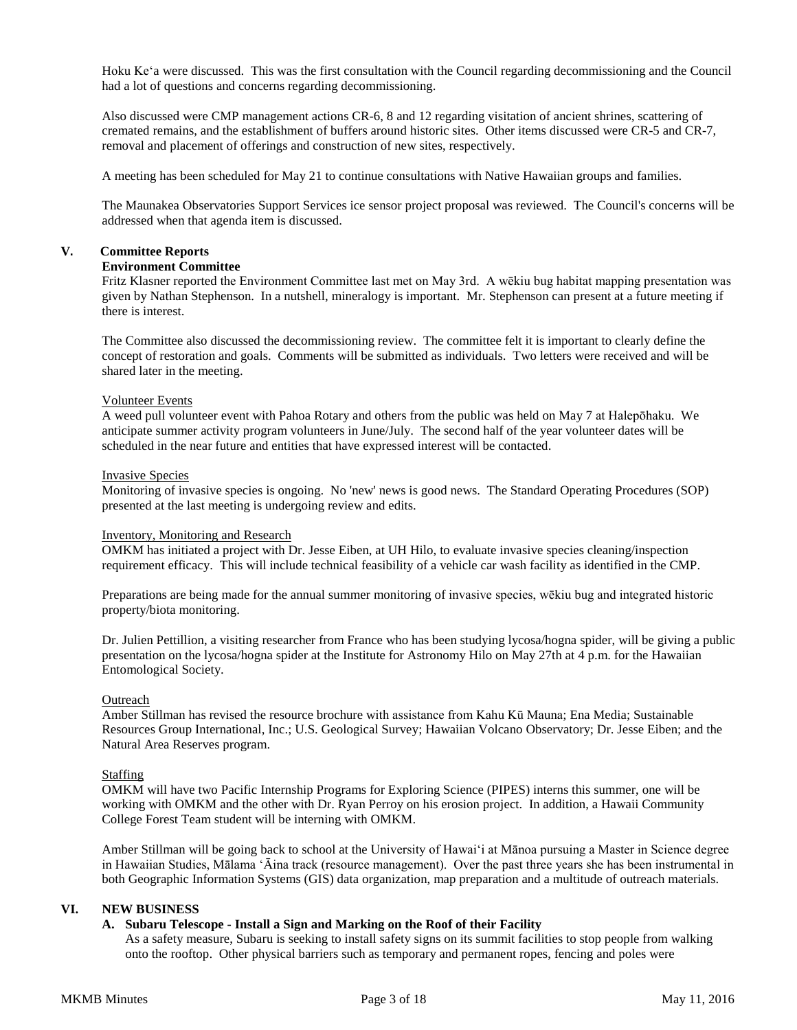Hoku Keʻa were discussed. This was the first consultation with the Council regarding decommissioning and the Council had a lot of questions and concerns regarding decommissioning.

Also discussed were CMP management actions CR-6, 8 and 12 regarding visitation of ancient shrines, scattering of cremated remains, and the establishment of buffers around historic sites. Other items discussed were CR-5 and CR-7, removal and placement of offerings and construction of new sites, respectively.

A meeting has been scheduled for May 21 to continue consultations with Native Hawaiian groups and families.

The Maunakea Observatories Support Services ice sensor project proposal was reviewed. The Council's concerns will be addressed when that agenda item is discussed.

# **V. Committee Reports**

# **Environment Committee**

Fritz Klasner reported the Environment Committee last met on May 3rd. A wēkiu bug habitat mapping presentation was given by Nathan Stephenson. In a nutshell, mineralogy is important. Mr. Stephenson can present at a future meeting if there is interest.

The Committee also discussed the decommissioning review. The committee felt it is important to clearly define the concept of restoration and goals. Comments will be submitted as individuals. Two letters were received and will be shared later in the meeting.

# Volunteer Events

A weed pull volunteer event with Pahoa Rotary and others from the public was held on May 7 at Halepōhaku. We anticipate summer activity program volunteers in June/July. The second half of the year volunteer dates will be scheduled in the near future and entities that have expressed interest will be contacted.

## Invasive Species

Monitoring of invasive species is ongoing. No 'new' news is good news. The Standard Operating Procedures (SOP) presented at the last meeting is undergoing review and edits.

## Inventory, Monitoring and Research

OMKM has initiated a project with Dr. Jesse Eiben, at UH Hilo, to evaluate invasive species cleaning/inspection requirement efficacy. This will include technical feasibility of a vehicle car wash facility as identified in the CMP.

Preparations are being made for the annual summer monitoring of invasive species, wēkiu bug and integrated historic property/biota monitoring.

Dr. Julien Pettillion, a visiting researcher from France who has been studying lycosa/hogna spider, will be giving a public presentation on the lycosa/hogna spider at the Institute for Astronomy Hilo on May 27th at 4 p.m. for the Hawaiian Entomological Society.

## Outreach

Amber Stillman has revised the resource brochure with assistance from Kahu Kū Mauna; Ena Media; Sustainable Resources Group International, Inc.; U.S. Geological Survey; Hawaiian Volcano Observatory; Dr. Jesse Eiben; and the Natural Area Reserves program.

# **Staffing**

OMKM will have two Pacific Internship Programs for Exploring Science (PIPES) interns this summer, one will be working with OMKM and the other with Dr. Ryan Perroy on his erosion project. In addition, a Hawaii Community College Forest Team student will be interning with OMKM.

Amber Stillman will be going back to school at the University of Hawaiʻi at Mānoa pursuing a Master in Science degree in Hawaiian Studies, Mālama ʻĀina track (resource management). Over the past three years she has been instrumental in both Geographic Information Systems (GIS) data organization, map preparation and a multitude of outreach materials.

# **VI. NEW BUSINESS**

# **A. Subaru Telescope - Install a Sign and Marking on the Roof of their Facility**

As a safety measure, Subaru is seeking to install safety signs on its summit facilities to stop people from walking onto the rooftop. Other physical barriers such as temporary and permanent ropes, fencing and poles were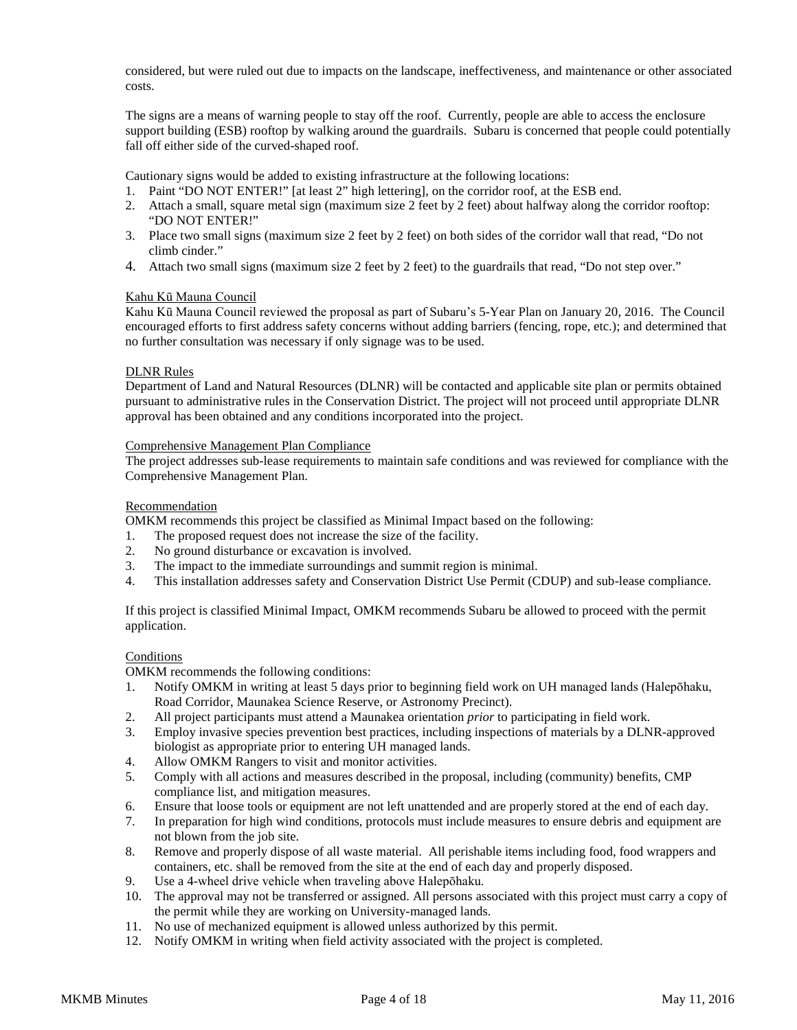considered, but were ruled out due to impacts on the landscape, ineffectiveness, and maintenance or other associated costs.

The signs are a means of warning people to stay off the roof. Currently, people are able to access the enclosure support building (ESB) rooftop by walking around the guardrails. Subaru is concerned that people could potentially fall off either side of the curved-shaped roof.

Cautionary signs would be added to existing infrastructure at the following locations:

- 1. Paint "DO NOT ENTER!" [at least 2" high lettering], on the corridor roof, at the ESB end.
- 2. Attach a small, square metal sign (maximum size 2 feet by 2 feet) about halfway along the corridor rooftop: "DO NOT ENTER!"
- 3. Place two small signs (maximum size 2 feet by 2 feet) on both sides of the corridor wall that read, "Do not climb cinder."
- 4. Attach two small signs (maximum size 2 feet by 2 feet) to the guardrails that read, "Do not step over."

# Kahu Kū Mauna Council

Kahu Kū Mauna Council reviewed the proposal as part of Subaru's 5-Year Plan on January 20, 2016. The Council encouraged efforts to first address safety concerns without adding barriers (fencing, rope, etc.); and determined that no further consultation was necessary if only signage was to be used.

# DLNR Rules

Department of Land and Natural Resources (DLNR) will be contacted and applicable site plan or permits obtained pursuant to administrative rules in the Conservation District. The project will not proceed until appropriate DLNR approval has been obtained and any conditions incorporated into the project.

# Comprehensive Management Plan Compliance

The project addresses sub-lease requirements to maintain safe conditions and was reviewed for compliance with the Comprehensive Management Plan.

## Recommendation

OMKM recommends this project be classified as Minimal Impact based on the following:

- 1. The proposed request does not increase the size of the facility.
- 2. No ground disturbance or excavation is involved.
- 3. The impact to the immediate surroundings and summit region is minimal.
- 4. This installation addresses safety and Conservation District Use Permit (CDUP) and sub-lease compliance.

If this project is classified Minimal Impact, OMKM recommends Subaru be allowed to proceed with the permit application.

## **Conditions**

OMKM recommends the following conditions:

- 1. Notify OMKM in writing at least 5 days prior to beginning field work on UH managed lands (Halepōhaku, Road Corridor, Maunakea Science Reserve, or Astronomy Precinct).
- 2. All project participants must attend a Maunakea orientation *prior* to participating in field work.
- 3. Employ invasive species prevention best practices, including inspections of materials by a DLNR-approved biologist as appropriate prior to entering UH managed lands.
- 4. Allow OMKM Rangers to visit and monitor activities.
- 5. Comply with all actions and measures described in the proposal, including (community) benefits, CMP compliance list, and mitigation measures.
- 6. Ensure that loose tools or equipment are not left unattended and are properly stored at the end of each day.
- 7. In preparation for high wind conditions, protocols must include measures to ensure debris and equipment are not blown from the job site.
- 8. Remove and properly dispose of all waste material. All perishable items including food, food wrappers and containers, etc. shall be removed from the site at the end of each day and properly disposed.
- 9. Use a 4-wheel drive vehicle when traveling above Halepōhaku.
- 10. The approval may not be transferred or assigned. All persons associated with this project must carry a copy of the permit while they are working on University-managed lands.
- 11. No use of mechanized equipment is allowed unless authorized by this permit.
- 12. Notify OMKM in writing when field activity associated with the project is completed.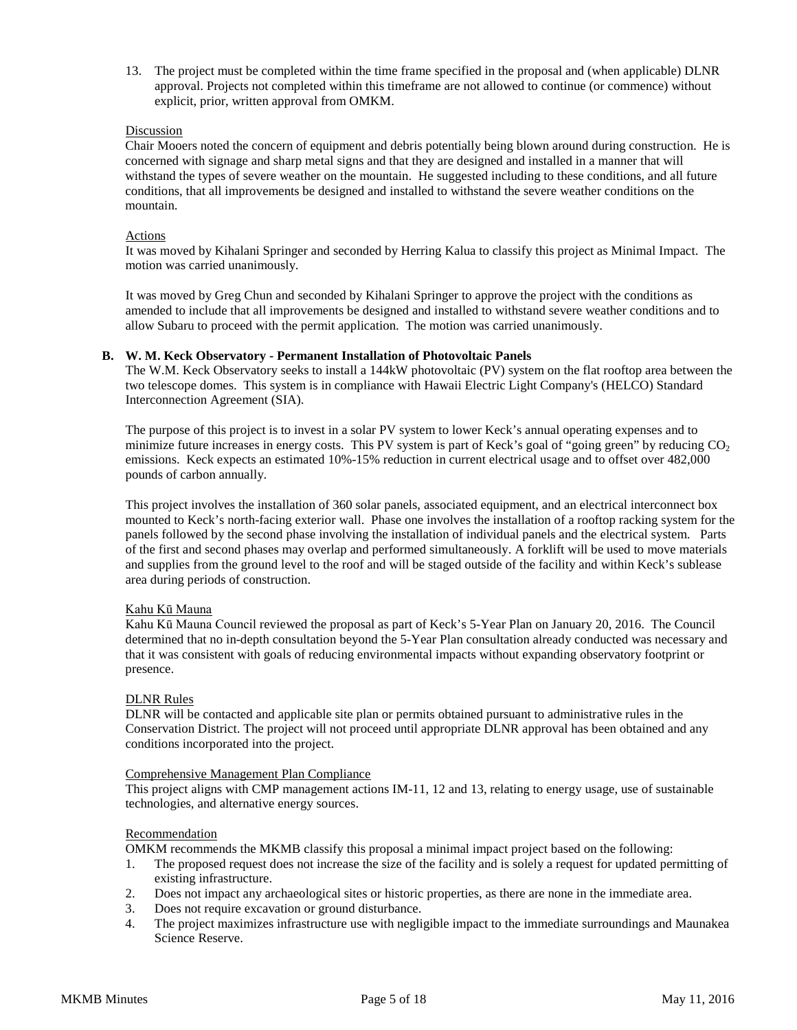13. The project must be completed within the time frame specified in the proposal and (when applicable) DLNR approval. Projects not completed within this timeframe are not allowed to continue (or commence) without explicit, prior, written approval from OMKM.

# Discussion

Chair Mooers noted the concern of equipment and debris potentially being blown around during construction. He is concerned with signage and sharp metal signs and that they are designed and installed in a manner that will withstand the types of severe weather on the mountain. He suggested including to these conditions, and all future conditions, that all improvements be designed and installed to withstand the severe weather conditions on the mountain.

# Actions

It was moved by Kihalani Springer and seconded by Herring Kalua to classify this project as Minimal Impact. The motion was carried unanimously.

It was moved by Greg Chun and seconded by Kihalani Springer to approve the project with the conditions as amended to include that all improvements be designed and installed to withstand severe weather conditions and to allow Subaru to proceed with the permit application. The motion was carried unanimously.

## **B. W. M. Keck Observatory - Permanent Installation of Photovoltaic Panels**

The W.M. Keck Observatory seeks to install a 144kW photovoltaic (PV) system on the flat rooftop area between the two telescope domes. This system is in compliance with Hawaii Electric Light Company's (HELCO) Standard Interconnection Agreement (SIA).

The purpose of this project is to invest in a solar PV system to lower Keck's annual operating expenses and to minimize future increases in energy costs. This PV system is part of Keck's goal of "going green" by reducing  $CO<sub>2</sub>$ emissions. Keck expects an estimated 10%-15% reduction in current electrical usage and to offset over 482,000 pounds of carbon annually.

This project involves the installation of 360 solar panels, associated equipment, and an electrical interconnect box mounted to Keck's north-facing exterior wall. Phase one involves the installation of a rooftop racking system for the panels followed by the second phase involving the installation of individual panels and the electrical system. Parts of the first and second phases may overlap and performed simultaneously. A forklift will be used to move materials and supplies from the ground level to the roof and will be staged outside of the facility and within Keck's sublease area during periods of construction.

# Kahu Kū Mauna

Kahu Kū Mauna Council reviewed the proposal as part of Keck's 5-Year Plan on January 20, 2016. The Council determined that no in-depth consultation beyond the 5-Year Plan consultation already conducted was necessary and that it was consistent with goals of reducing environmental impacts without expanding observatory footprint or presence.

## DLNR Rules

DLNR will be contacted and applicable site plan or permits obtained pursuant to administrative rules in the Conservation District. The project will not proceed until appropriate DLNR approval has been obtained and any conditions incorporated into the project.

## Comprehensive Management Plan Compliance

This project aligns with CMP management actions IM-11, 12 and 13, relating to energy usage, use of sustainable technologies, and alternative energy sources.

## Recommendation

OMKM recommends the MKMB classify this proposal a minimal impact project based on the following:

- 1. The proposed request does not increase the size of the facility and is solely a request for updated permitting of existing infrastructure.
- 2. Does not impact any archaeological sites or historic properties, as there are none in the immediate area.
- 3. Does not require excavation or ground disturbance.
- 4. The project maximizes infrastructure use with negligible impact to the immediate surroundings and Maunakea Science Reserve.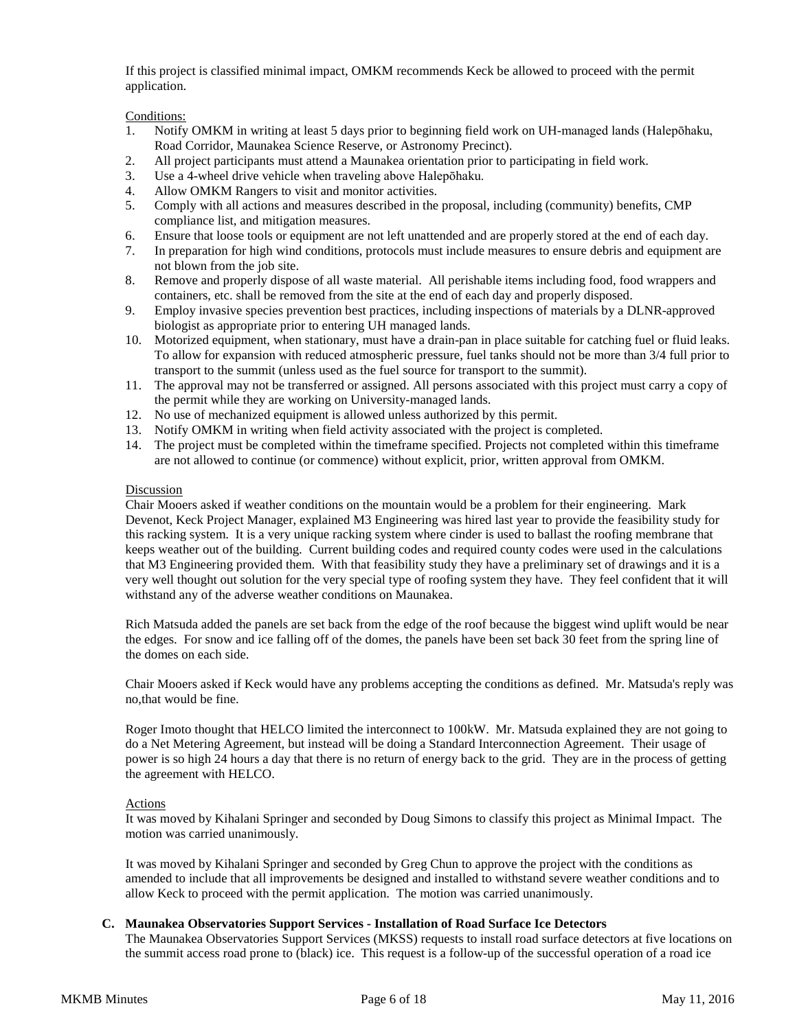If this project is classified minimal impact, OMKM recommends Keck be allowed to proceed with the permit application.

Conditions:

- 1. Notify OMKM in writing at least 5 days prior to beginning field work on UH-managed lands (Halepōhaku, Road Corridor, Maunakea Science Reserve, or Astronomy Precinct).
- 2. All project participants must attend a Maunakea orientation prior to participating in field work.
- 3. Use a 4-wheel drive vehicle when traveling above Halepōhaku.
- 4. Allow OMKM Rangers to visit and monitor activities.
- 5. Comply with all actions and measures described in the proposal, including (community) benefits, CMP compliance list, and mitigation measures.
- 6. Ensure that loose tools or equipment are not left unattended and are properly stored at the end of each day.
- 7. In preparation for high wind conditions, protocols must include measures to ensure debris and equipment are not blown from the job site.
- 8. Remove and properly dispose of all waste material. All perishable items including food, food wrappers and containers, etc. shall be removed from the site at the end of each day and properly disposed.
- 9. Employ invasive species prevention best practices, including inspections of materials by a DLNR-approved biologist as appropriate prior to entering UH managed lands.
- 10. Motorized equipment, when stationary, must have a drain-pan in place suitable for catching fuel or fluid leaks. To allow for expansion with reduced atmospheric pressure, fuel tanks should not be more than 3/4 full prior to transport to the summit (unless used as the fuel source for transport to the summit).
- 11. The approval may not be transferred or assigned. All persons associated with this project must carry a copy of the permit while they are working on University-managed lands.
- 12. No use of mechanized equipment is allowed unless authorized by this permit.
- 13. Notify OMKM in writing when field activity associated with the project is completed.
- 14. The project must be completed within the timeframe specified. Projects not completed within this timeframe are not allowed to continue (or commence) without explicit, prior, written approval from OMKM.

# Discussion

Chair Mooers asked if weather conditions on the mountain would be a problem for their engineering. Mark Devenot, Keck Project Manager, explained M3 Engineering was hired last year to provide the feasibility study for this racking system. It is a very unique racking system where cinder is used to ballast the roofing membrane that keeps weather out of the building. Current building codes and required county codes were used in the calculations that M3 Engineering provided them. With that feasibility study they have a preliminary set of drawings and it is a very well thought out solution for the very special type of roofing system they have. They feel confident that it will withstand any of the adverse weather conditions on Maunakea.

Rich Matsuda added the panels are set back from the edge of the roof because the biggest wind uplift would be near the edges. For snow and ice falling off of the domes, the panels have been set back 30 feet from the spring line of the domes on each side.

Chair Mooers asked if Keck would have any problems accepting the conditions as defined. Mr. Matsuda's reply was no,that would be fine.

Roger Imoto thought that HELCO limited the interconnect to 100kW. Mr. Matsuda explained they are not going to do a Net Metering Agreement, but instead will be doing a Standard Interconnection Agreement. Their usage of power is so high 24 hours a day that there is no return of energy back to the grid. They are in the process of getting the agreement with HELCO.

## Actions

It was moved by Kihalani Springer and seconded by Doug Simons to classify this project as Minimal Impact. The motion was carried unanimously.

It was moved by Kihalani Springer and seconded by Greg Chun to approve the project with the conditions as amended to include that all improvements be designed and installed to withstand severe weather conditions and to allow Keck to proceed with the permit application. The motion was carried unanimously.

# **C. Maunakea Observatories Support Services - Installation of Road Surface Ice Detectors**

The Maunakea Observatories Support Services (MKSS) requests to install road surface detectors at five locations on the summit access road prone to (black) ice. This request is a follow-up of the successful operation of a road ice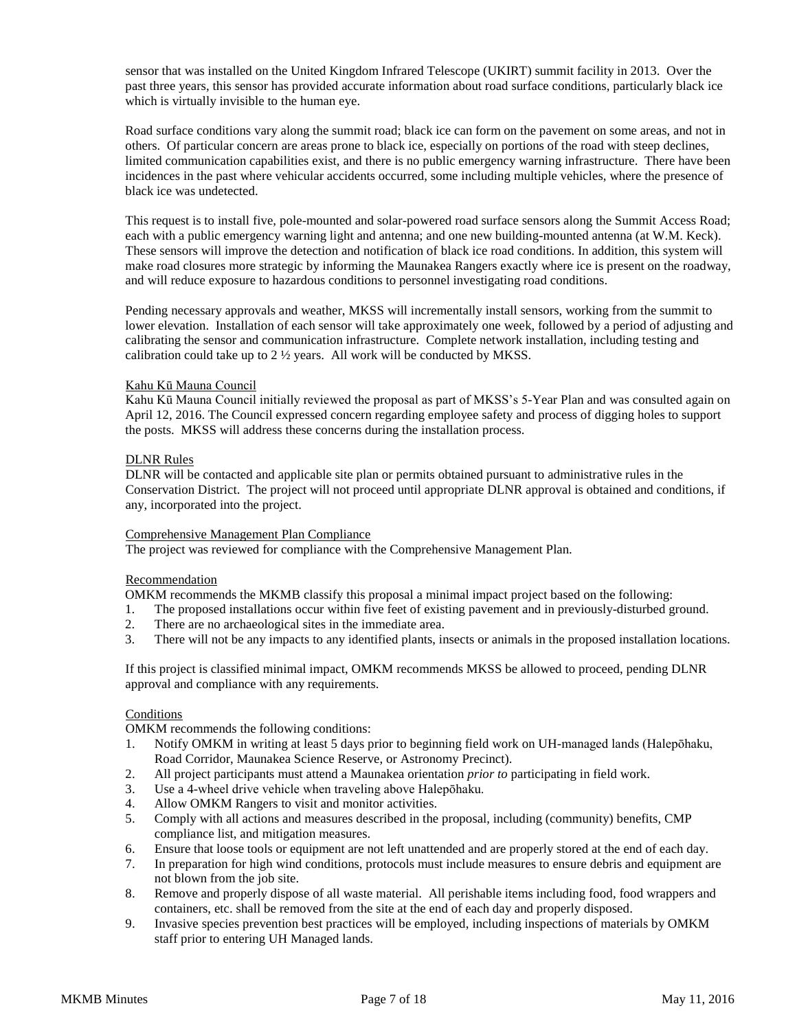sensor that was installed on the United Kingdom Infrared Telescope (UKIRT) summit facility in 2013. Over the past three years, this sensor has provided accurate information about road surface conditions, particularly black ice which is virtually invisible to the human eye.

Road surface conditions vary along the summit road; black ice can form on the pavement on some areas, and not in others. Of particular concern are areas prone to black ice, especially on portions of the road with steep declines, limited communication capabilities exist, and there is no public emergency warning infrastructure. There have been incidences in the past where vehicular accidents occurred, some including multiple vehicles, where the presence of black ice was undetected.

This request is to install five, pole-mounted and solar-powered road surface sensors along the Summit Access Road; each with a public emergency warning light and antenna; and one new building-mounted antenna (at W.M. Keck). These sensors will improve the detection and notification of black ice road conditions. In addition, this system will make road closures more strategic by informing the Maunakea Rangers exactly where ice is present on the roadway, and will reduce exposure to hazardous conditions to personnel investigating road conditions.

Pending necessary approvals and weather, MKSS will incrementally install sensors, working from the summit to lower elevation. Installation of each sensor will take approximately one week, followed by a period of adjusting and calibrating the sensor and communication infrastructure. Complete network installation, including testing and calibration could take up to  $2\frac{1}{2}$  years. All work will be conducted by MKSS.

# Kahu Kū Mauna Council

Kahu Kū Mauna Council initially reviewed the proposal as part of MKSS's 5-Year Plan and was consulted again on April 12, 2016. The Council expressed concern regarding employee safety and process of digging holes to support the posts. MKSS will address these concerns during the installation process.

# DLNR Rules

DLNR will be contacted and applicable site plan or permits obtained pursuant to administrative rules in the Conservation District. The project will not proceed until appropriate DLNR approval is obtained and conditions, if any, incorporated into the project.

# Comprehensive Management Plan Compliance

The project was reviewed for compliance with the Comprehensive Management Plan.

# Recommendation

OMKM recommends the MKMB classify this proposal a minimal impact project based on the following:

- 1. The proposed installations occur within five feet of existing pavement and in previously-disturbed ground.
- 2. There are no archaeological sites in the immediate area.
- 3. There will not be any impacts to any identified plants, insects or animals in the proposed installation locations.

If this project is classified minimal impact, OMKM recommends MKSS be allowed to proceed, pending DLNR approval and compliance with any requirements.

## **Conditions**

OMKM recommends the following conditions:

- 1. Notify OMKM in writing at least 5 days prior to beginning field work on UH-managed lands (Halepōhaku, Road Corridor, Maunakea Science Reserve, or Astronomy Precinct).
- 2. All project participants must attend a Maunakea orientation *prior to* participating in field work.
- Use a 4-wheel drive vehicle when traveling above Halepōhaku.
- 4. Allow OMKM Rangers to visit and monitor activities.
- 5. Comply with all actions and measures described in the proposal, including (community) benefits, CMP compliance list, and mitigation measures.
- 6. Ensure that loose tools or equipment are not left unattended and are properly stored at the end of each day.
- 7. In preparation for high wind conditions, protocols must include measures to ensure debris and equipment are not blown from the job site.
- 8. Remove and properly dispose of all waste material. All perishable items including food, food wrappers and containers, etc. shall be removed from the site at the end of each day and properly disposed.
- 9. Invasive species prevention best practices will be employed, including inspections of materials by OMKM staff prior to entering UH Managed lands.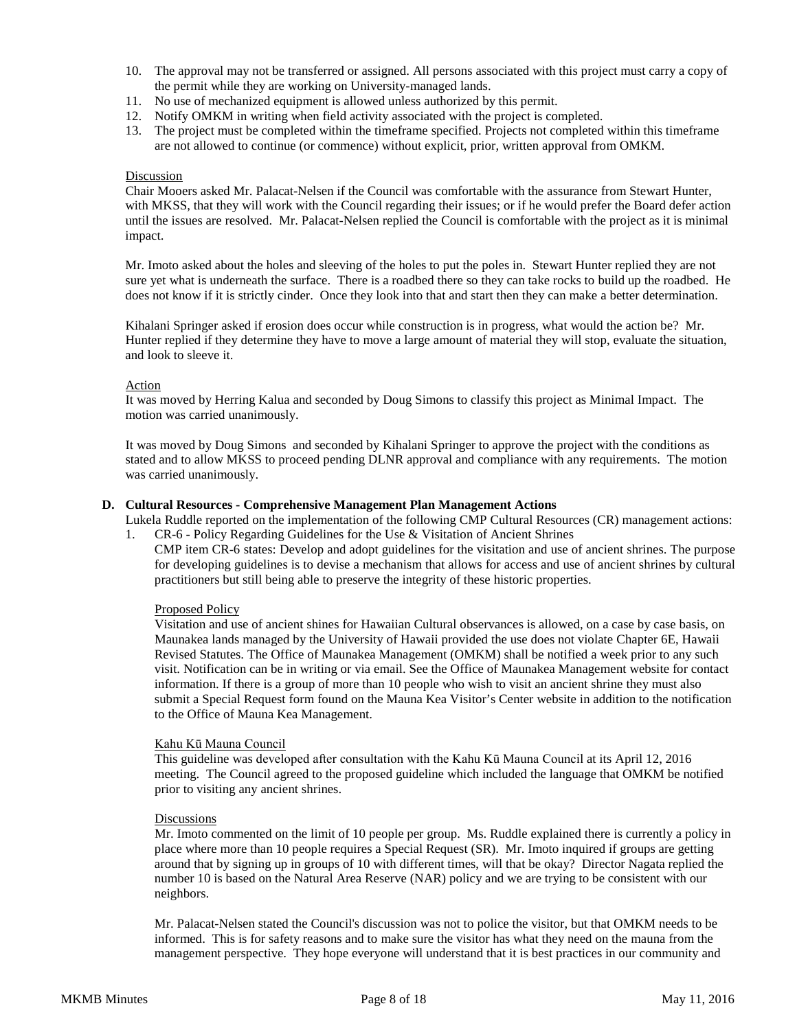- 10. The approval may not be transferred or assigned. All persons associated with this project must carry a copy of the permit while they are working on University-managed lands.
- 11. No use of mechanized equipment is allowed unless authorized by this permit.
- 12. Notify OMKM in writing when field activity associated with the project is completed.
- 13. The project must be completed within the timeframe specified. Projects not completed within this timeframe are not allowed to continue (or commence) without explicit, prior, written approval from OMKM.

#### Discussion

Chair Mooers asked Mr. Palacat-Nelsen if the Council was comfortable with the assurance from Stewart Hunter, with MKSS, that they will work with the Council regarding their issues; or if he would prefer the Board defer action until the issues are resolved. Mr. Palacat-Nelsen replied the Council is comfortable with the project as it is minimal impact.

Mr. Imoto asked about the holes and sleeving of the holes to put the poles in. Stewart Hunter replied they are not sure yet what is underneath the surface. There is a roadbed there so they can take rocks to build up the roadbed. He does not know if it is strictly cinder. Once they look into that and start then they can make a better determination.

Kihalani Springer asked if erosion does occur while construction is in progress, what would the action be? Mr. Hunter replied if they determine they have to move a large amount of material they will stop, evaluate the situation, and look to sleeve it.

# Action

It was moved by Herring Kalua and seconded by Doug Simons to classify this project as Minimal Impact. The motion was carried unanimously.

It was moved by Doug Simons and seconded by Kihalani Springer to approve the project with the conditions as stated and to allow MKSS to proceed pending DLNR approval and compliance with any requirements. The motion was carried unanimously.

## **D. Cultural Resources - Comprehensive Management Plan Management Actions**

Lukela Ruddle reported on the implementation of the following CMP Cultural Resources (CR) management actions: 1. CR-6 - Policy Regarding Guidelines for the Use & Visitation of Ancient Shrines

CMP item CR-6 states: Develop and adopt guidelines for the visitation and use of ancient shrines. The purpose for developing guidelines is to devise a mechanism that allows for access and use of ancient shrines by cultural practitioners but still being able to preserve the integrity of these historic properties.

## Proposed Policy

Visitation and use of ancient shines for Hawaiian Cultural observances is allowed, on a case by case basis, on Maunakea lands managed by the University of Hawaii provided the use does not violate Chapter 6E, Hawaii Revised Statutes. The Office of Maunakea Management (OMKM) shall be notified a week prior to any such visit. Notification can be in writing or via email. See the Office of Maunakea Management website for contact information. If there is a group of more than 10 people who wish to visit an ancient shrine they must also submit a Special Request form found on the Mauna Kea Visitor's Center website in addition to the notification to the Office of Mauna Kea Management.

## Kahu Kū Mauna Council

This guideline was developed after consultation with the Kahu Kū Mauna Council at its April 12, 2016 meeting. The Council agreed to the proposed guideline which included the language that OMKM be notified prior to visiting any ancient shrines.

#### Discussions

Mr. Imoto commented on the limit of 10 people per group. Ms. Ruddle explained there is currently a policy in place where more than 10 people requires a Special Request (SR). Mr. Imoto inquired if groups are getting around that by signing up in groups of 10 with different times, will that be okay? Director Nagata replied the number 10 is based on the Natural Area Reserve (NAR) policy and we are trying to be consistent with our neighbors.

Mr. Palacat-Nelsen stated the Council's discussion was not to police the visitor, but that OMKM needs to be informed. This is for safety reasons and to make sure the visitor has what they need on the mauna from the management perspective. They hope everyone will understand that it is best practices in our community and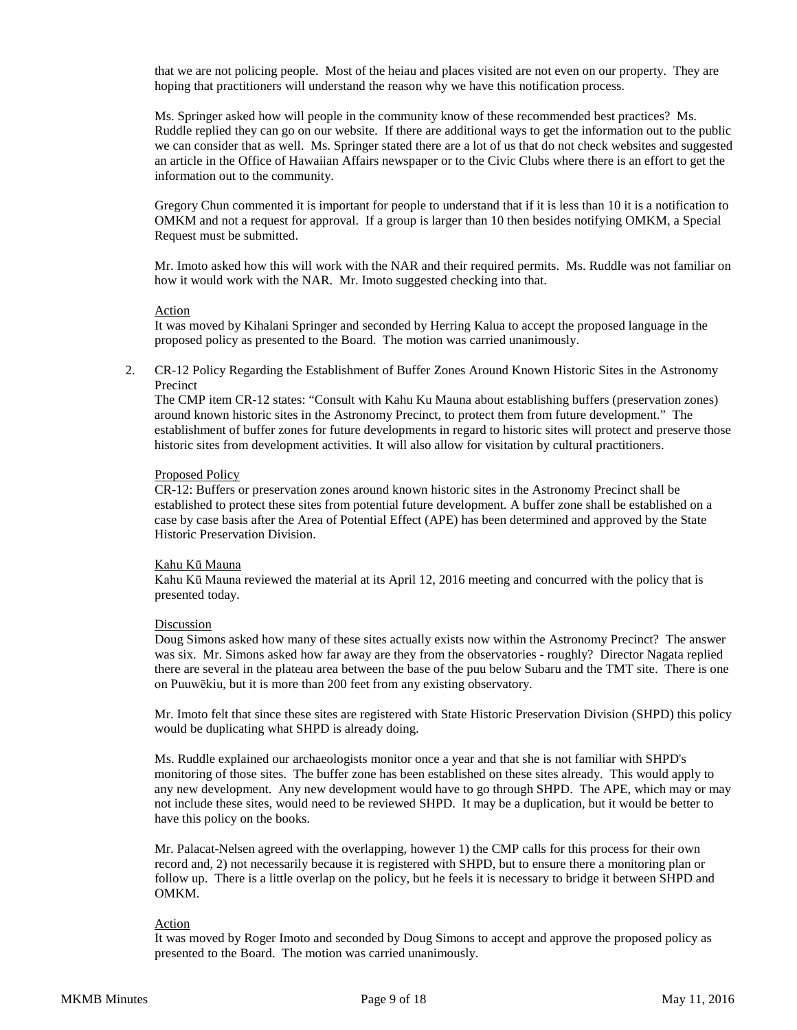that we are not policing people. Most of the heiau and places visited are not even on our property. They are hoping that practitioners will understand the reason why we have this notification process.

Ms. Springer asked how will people in the community know of these recommended best practices? Ms. Ruddle replied they can go on our website. If there are additional ways to get the information out to the public we can consider that as well. Ms. Springer stated there are a lot of us that do not check websites and suggested an article in the Office of Hawaiian Affairs newspaper or to the Civic Clubs where there is an effort to get the information out to the community.

Gregory Chun commented it is important for people to understand that if it is less than 10 it is a notification to OMKM and not a request for approval. If a group is larger than 10 then besides notifying OMKM, a Special Request must be submitted.

Mr. Imoto asked how this will work with the NAR and their required permits. Ms. Ruddle was not familiar on how it would work with the NAR. Mr. Imoto suggested checking into that.

## Action

It was moved by Kihalani Springer and seconded by Herring Kalua to accept the proposed language in the proposed policy as presented to the Board. The motion was carried unanimously.

2. CR-12 Policy Regarding the Establishment of Buffer Zones Around Known Historic Sites in the Astronomy Precinct

The CMP item CR-12 states: "Consult with Kahu Ku Mauna about establishing buffers (preservation zones) around known historic sites in the Astronomy Precinct, to protect them from future development." The establishment of buffer zones for future developments in regard to historic sites will protect and preserve those historic sites from development activities. It will also allow for visitation by cultural practitioners.

## Proposed Policy

CR-12: Buffers or preservation zones around known historic sites in the Astronomy Precinct shall be established to protect these sites from potential future development. A buffer zone shall be established on a case by case basis after the Area of Potential Effect (APE) has been determined and approved by the State Historic Preservation Division.

## Kahu Kū Mauna

Kahu Kū Mauna reviewed the material at its April 12, 2016 meeting and concurred with the policy that is presented today.

## Discussion

Doug Simons asked how many of these sites actually exists now within the Astronomy Precinct? The answer was six. Mr. Simons asked how far away are they from the observatories - roughly? Director Nagata replied there are several in the plateau area between the base of the puu below Subaru and the TMT site. There is one on Puuwēkiu, but it is more than 200 feet from any existing observatory.

Mr. Imoto felt that since these sites are registered with State Historic Preservation Division (SHPD) this policy would be duplicating what SHPD is already doing.

Ms. Ruddle explained our archaeologists monitor once a year and that she is not familiar with SHPD's monitoring of those sites. The buffer zone has been established on these sites already. This would apply to any new development. Any new development would have to go through SHPD. The APE, which may or may not include these sites, would need to be reviewed SHPD. It may be a duplication, but it would be better to have this policy on the books.

Mr. Palacat-Nelsen agreed with the overlapping, however 1) the CMP calls for this process for their own record and, 2) not necessarily because it is registered with SHPD, but to ensure there a monitoring plan or follow up. There is a little overlap on the policy, but he feels it is necessary to bridge it between SHPD and OMKM.

## Action

It was moved by Roger Imoto and seconded by Doug Simons to accept and approve the proposed policy as presented to the Board. The motion was carried unanimously.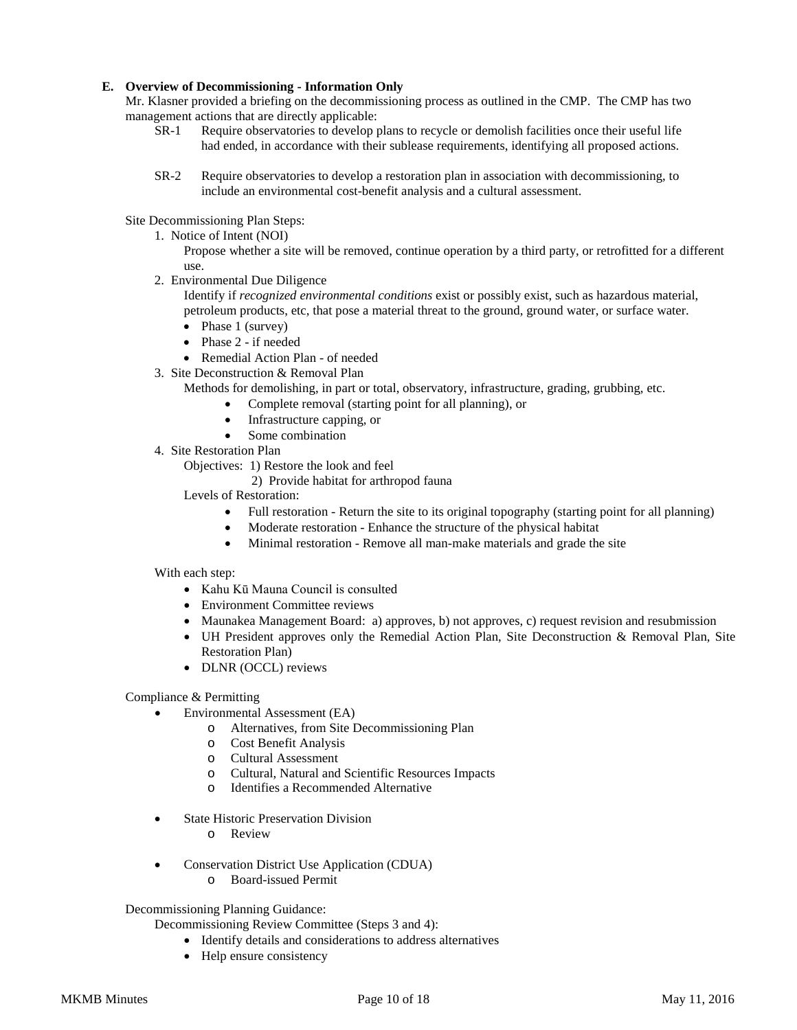# **E. Overview of Decommissioning - Information Only**

Mr. Klasner provided a briefing on the decommissioning process as outlined in the CMP. The CMP has two management actions that are directly applicable:

- SR-1 Require observatories to develop plans to recycle or demolish facilities once their useful life had ended, in accordance with their sublease requirements, identifying all proposed actions.
- SR-2 Require observatories to develop a restoration plan in association with decommissioning, to include an environmental cost-benefit analysis and a cultural assessment.

Site Decommissioning Plan Steps:

- 1. Notice of Intent (NOI)
	- Propose whether a site will be removed, continue operation by a third party, or retrofitted for a different use.
- 2. Environmental Due Diligence
	- Identify if *recognized environmental conditions* exist or possibly exist, such as hazardous material, petroleum products, etc, that pose a material threat to the ground, ground water, or surface water.
	- Phase 1 (survey)
	- Phase 2 if needed
	- Remedial Action Plan of needed
- 3. Site Deconstruction & Removal Plan
	- Methods for demolishing, in part or total, observatory, infrastructure, grading, grubbing, etc.
		- Complete removal (starting point for all planning), or
		- Infrastructure capping, or
		- Some combination
- 4. Site Restoration Plan
	- Objectives: 1) Restore the look and feel
		- 2) Provide habitat for arthropod fauna
	- Levels of Restoration:
		- Full restoration Return the site to its original topography (starting point for all planning)
		- Moderate restoration Enhance the structure of the physical habitat
		- Minimal restoration Remove all man-make materials and grade the site

With each step:

- Kahu Kū Mauna Council is consulted
- Environment Committee reviews
- Maunakea Management Board: a) approves, b) not approves, c) request revision and resubmission
- UH President approves only the Remedial Action Plan, Site Deconstruction & Removal Plan, Site Restoration Plan)
- DLNR (OCCL) reviews

Compliance & Permitting

- Environmental Assessment (EA)
	- o Alternatives, from Site Decommissioning Plan
	- o Cost Benefit Analysis
	- o Cultural Assessment
	- o Cultural, Natural and Scientific Resources Impacts
	- o Identifies a Recommended Alternative
- **State Historic Preservation Division** 
	- o Review
- Conservation District Use Application (CDUA)
	- o Board-issued Permit

# Decommissioning Planning Guidance:

Decommissioning Review Committee (Steps 3 and 4):

- Identify details and considerations to address alternatives
- Help ensure consistency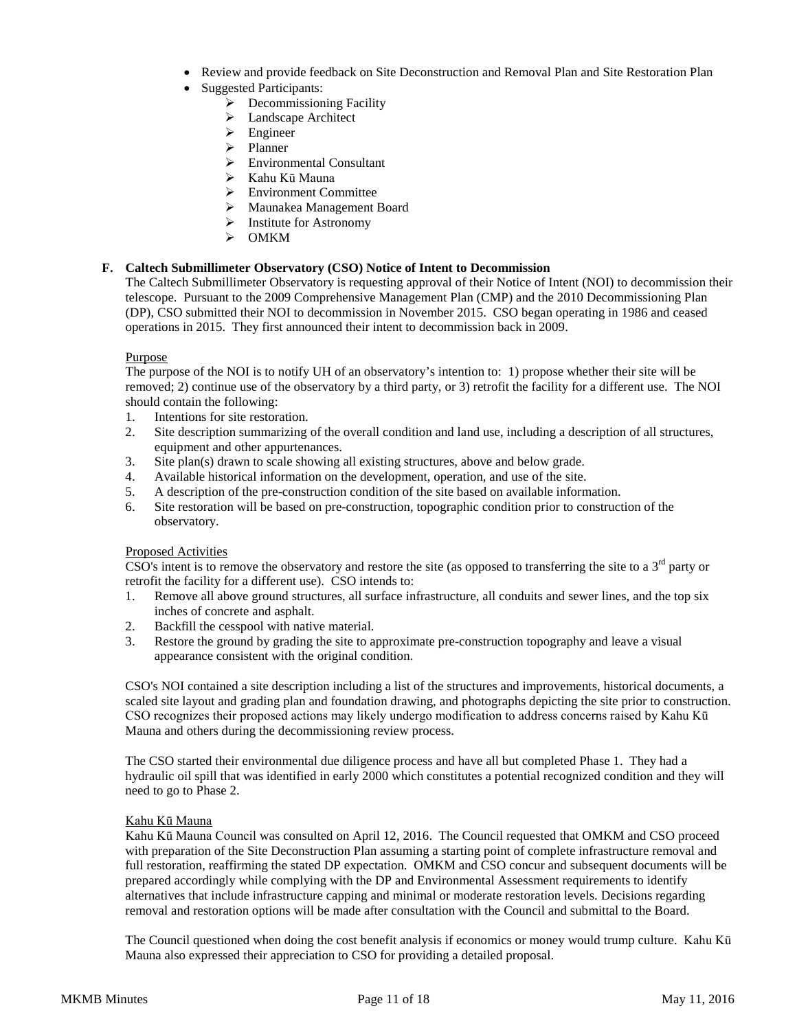- Review and provide feedback on Site Deconstruction and Removal Plan and Site Restoration Plan
- Suggested Participants:
	- $\triangleright$  Decommissioning Facility
	- > Landscape Architect
	- > Engineer
	- $\triangleright$  Planner
	- Environmental Consultant
	- Kahu Kū Mauna
	- Environment Committee
	- Maunakea Management Board
	- > Institute for Astronomy
	- $\triangleright$  OMKM

# **F. Caltech Submillimeter Observatory (CSO) Notice of Intent to Decommission**

The Caltech Submillimeter Observatory is requesting approval of their Notice of Intent (NOI) to decommission their telescope. Pursuant to the 2009 Comprehensive Management Plan (CMP) and the 2010 Decommissioning Plan (DP), CSO submitted their NOI to decommission in November 2015. CSO began operating in 1986 and ceased operations in 2015. They first announced their intent to decommission back in 2009.

# Purpose

The purpose of the NOI is to notify UH of an observatory's intention to: 1) propose whether their site will be removed; 2) continue use of the observatory by a third party, or 3) retrofit the facility for a different use. The NOI should contain the following:

- 1. Intentions for site restoration.
- 2. Site description summarizing of the overall condition and land use, including a description of all structures, equipment and other appurtenances.
- 3. Site plan(s) drawn to scale showing all existing structures, above and below grade.
- 4. Available historical information on the development, operation, and use of the site.
- 5. A description of the pre-construction condition of the site based on available information.
- 6. Site restoration will be based on pre-construction, topographic condition prior to construction of the observatory.

# Proposed Activities

CSO's intent is to remove the observatory and restore the site (as opposed to transferring the site to a  $3<sup>rd</sup>$  party or retrofit the facility for a different use). CSO intends to:

- 1. Remove all above ground structures, all surface infrastructure, all conduits and sewer lines, and the top six inches of concrete and asphalt.
- 2. Backfill the cesspool with native material.
- 3. Restore the ground by grading the site to approximate pre-construction topography and leave a visual appearance consistent with the original condition.

CSO's NOI contained a site description including a list of the structures and improvements, historical documents, a scaled site layout and grading plan and foundation drawing, and photographs depicting the site prior to construction. CSO recognizes their proposed actions may likely undergo modification to address concerns raised by Kahu Kū Mauna and others during the decommissioning review process.

The CSO started their environmental due diligence process and have all but completed Phase 1. They had a hydraulic oil spill that was identified in early 2000 which constitutes a potential recognized condition and they will need to go to Phase 2.

## Kahu Kū Mauna

Kahu Kū Mauna Council was consulted on April 12, 2016. The Council requested that OMKM and CSO proceed with preparation of the Site Deconstruction Plan assuming a starting point of complete infrastructure removal and full restoration, reaffirming the stated DP expectation. OMKM and CSO concur and subsequent documents will be prepared accordingly while complying with the DP and Environmental Assessment requirements to identify alternatives that include infrastructure capping and minimal or moderate restoration levels. Decisions regarding removal and restoration options will be made after consultation with the Council and submittal to the Board.

The Council questioned when doing the cost benefit analysis if economics or money would trump culture. Kahu Kū Mauna also expressed their appreciation to CSO for providing a detailed proposal.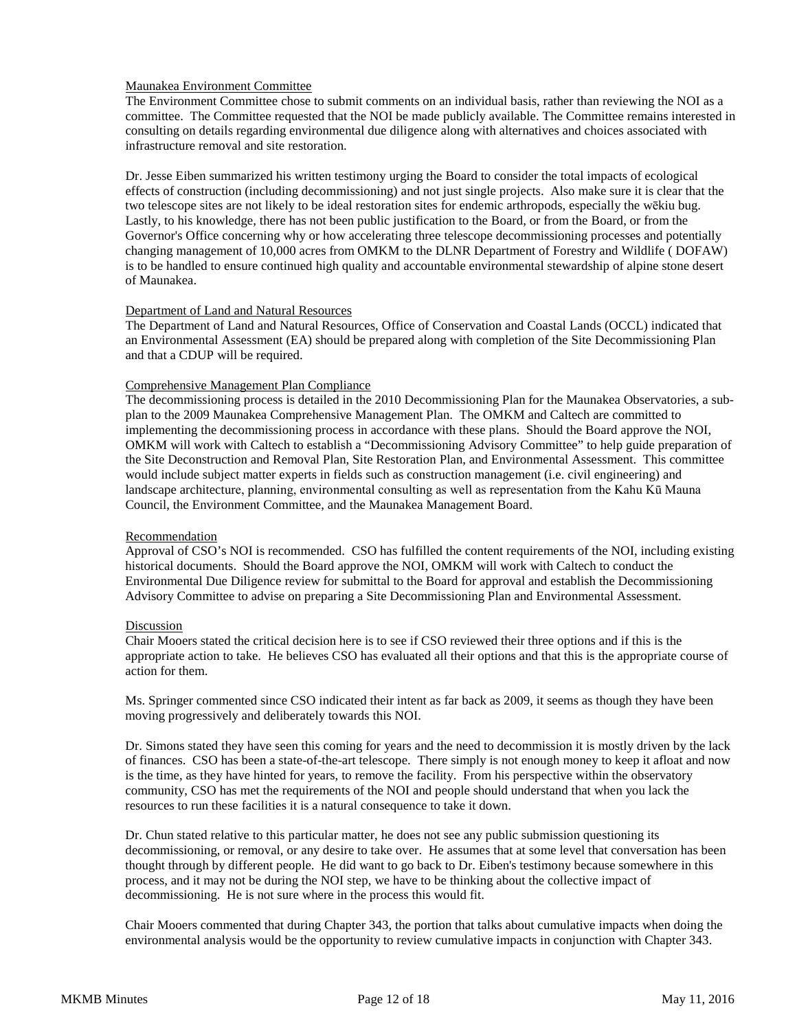# Maunakea Environment Committee

The Environment Committee chose to submit comments on an individual basis, rather than reviewing the NOI as a committee. The Committee requested that the NOI be made publicly available. The Committee remains interested in consulting on details regarding environmental due diligence along with alternatives and choices associated with infrastructure removal and site restoration.

Dr. Jesse Eiben summarized his written testimony urging the Board to consider the total impacts of ecological effects of construction (including decommissioning) and not just single projects. Also make sure it is clear that the two telescope sites are not likely to be ideal restoration sites for endemic arthropods, especially the wēkiu bug. Lastly, to his knowledge, there has not been public justification to the Board, or from the Board, or from the Governor's Office concerning why or how accelerating three telescope decommissioning processes and potentially changing management of 10,000 acres from OMKM to the DLNR Department of Forestry and Wildlife ( DOFAW) is to be handled to ensure continued high quality and accountable environmental stewardship of alpine stone desert of Maunakea.

## Department of Land and Natural Resources

The Department of Land and Natural Resources, Office of Conservation and Coastal Lands (OCCL) indicated that an Environmental Assessment (EA) should be prepared along with completion of the Site Decommissioning Plan and that a CDUP will be required.

# Comprehensive Management Plan Compliance

The decommissioning process is detailed in the 2010 Decommissioning Plan for the Maunakea Observatories, a subplan to the 2009 Maunakea Comprehensive Management Plan. The OMKM and Caltech are committed to implementing the decommissioning process in accordance with these plans. Should the Board approve the NOI, OMKM will work with Caltech to establish a "Decommissioning Advisory Committee" to help guide preparation of the Site Deconstruction and Removal Plan, Site Restoration Plan, and Environmental Assessment. This committee would include subject matter experts in fields such as construction management (i.e. civil engineering) and landscape architecture, planning, environmental consulting as well as representation from the Kahu Kū Mauna Council, the Environment Committee, and the Maunakea Management Board.

## Recommendation

Approval of CSO's NOI is recommended. CSO has fulfilled the content requirements of the NOI, including existing historical documents. Should the Board approve the NOI, OMKM will work with Caltech to conduct the Environmental Due Diligence review for submittal to the Board for approval and establish the Decommissioning Advisory Committee to advise on preparing a Site Decommissioning Plan and Environmental Assessment.

## Discussion

Chair Mooers stated the critical decision here is to see if CSO reviewed their three options and if this is the appropriate action to take. He believes CSO has evaluated all their options and that this is the appropriate course of action for them.

Ms. Springer commented since CSO indicated their intent as far back as 2009, it seems as though they have been moving progressively and deliberately towards this NOI.

Dr. Simons stated they have seen this coming for years and the need to decommission it is mostly driven by the lack of finances. CSO has been a state-of-the-art telescope. There simply is not enough money to keep it afloat and now is the time, as they have hinted for years, to remove the facility. From his perspective within the observatory community, CSO has met the requirements of the NOI and people should understand that when you lack the resources to run these facilities it is a natural consequence to take it down.

Dr. Chun stated relative to this particular matter, he does not see any public submission questioning its decommissioning, or removal, or any desire to take over. He assumes that at some level that conversation has been thought through by different people. He did want to go back to Dr. Eiben's testimony because somewhere in this process, and it may not be during the NOI step, we have to be thinking about the collective impact of decommissioning. He is not sure where in the process this would fit.

Chair Mooers commented that during Chapter 343, the portion that talks about cumulative impacts when doing the environmental analysis would be the opportunity to review cumulative impacts in conjunction with Chapter 343.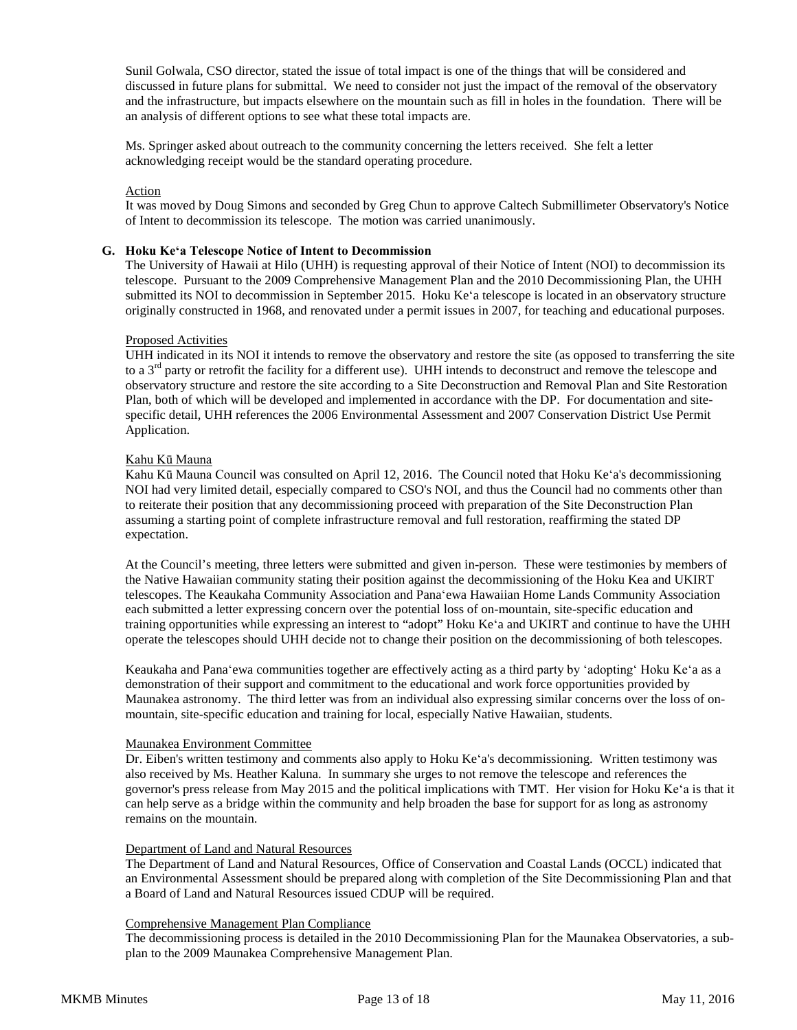Sunil Golwala, CSO director, stated the issue of total impact is one of the things that will be considered and discussed in future plans for submittal. We need to consider not just the impact of the removal of the observatory and the infrastructure, but impacts elsewhere on the mountain such as fill in holes in the foundation. There will be an analysis of different options to see what these total impacts are.

Ms. Springer asked about outreach to the community concerning the letters received. She felt a letter acknowledging receipt would be the standard operating procedure.

# Action

It was moved by Doug Simons and seconded by Greg Chun to approve Caltech Submillimeter Observatory's Notice of Intent to decommission its telescope. The motion was carried unanimously.

## **G. Hoku Keʻa Telescope Notice of Intent to Decommission**

The University of Hawaii at Hilo (UHH) is requesting approval of their Notice of Intent (NOI) to decommission its telescope. Pursuant to the 2009 Comprehensive Management Plan and the 2010 Decommissioning Plan, the UHH submitted its NOI to decommission in September 2015. Hoku Keʻa telescope is located in an observatory structure originally constructed in 1968, and renovated under a permit issues in 2007, for teaching and educational purposes.

## Proposed Activities

UHH indicated in its NOI it intends to remove the observatory and restore the site (as opposed to transferring the site to a 3<sup>rd</sup> party or retrofit the facility for a different use). UHH intends to deconstruct and remove the telescope and observatory structure and restore the site according to a Site Deconstruction and Removal Plan and Site Restoration Plan, both of which will be developed and implemented in accordance with the DP. For documentation and sitespecific detail, UHH references the 2006 Environmental Assessment and 2007 Conservation District Use Permit Application.

## Kahu Kū Mauna

Kahu Kū Mauna Council was consulted on April 12, 2016. The Council noted that Hoku Keʻa's decommissioning NOI had very limited detail, especially compared to CSO's NOI, and thus the Council had no comments other than to reiterate their position that any decommissioning proceed with preparation of the Site Deconstruction Plan assuming a starting point of complete infrastructure removal and full restoration, reaffirming the stated DP expectation.

At the Council's meeting, three letters were submitted and given in-person. These were testimonies by members of the Native Hawaiian community stating their position against the decommissioning of the Hoku Kea and UKIRT telescopes. The Keaukaha Community Association and Panaʻewa Hawaiian Home Lands Community Association each submitted a letter expressing concern over the potential loss of on-mountain, site-specific education and training opportunities while expressing an interest to "adopt" Hoku Keʻa and UKIRT and continue to have the UHH operate the telescopes should UHH decide not to change their position on the decommissioning of both telescopes.

Keaukaha and Panaʻewa communities together are effectively acting as a third party by ʻadoptingʻ Hoku Keʻa as a demonstration of their support and commitment to the educational and work force opportunities provided by Maunakea astronomy. The third letter was from an individual also expressing similar concerns over the loss of onmountain, site-specific education and training for local, especially Native Hawaiian, students.

## Maunakea Environment Committee

Dr. Eiben's written testimony and comments also apply to Hoku Keʻa's decommissioning. Written testimony was also received by Ms. Heather Kaluna. In summary she urges to not remove the telescope and references the governor's press release from May 2015 and the political implications with TMT. Her vision for Hoku Keʻa is that it can help serve as a bridge within the community and help broaden the base for support for as long as astronomy remains on the mountain.

## Department of Land and Natural Resources

The Department of Land and Natural Resources, Office of Conservation and Coastal Lands (OCCL) indicated that an Environmental Assessment should be prepared along with completion of the Site Decommissioning Plan and that a Board of Land and Natural Resources issued CDUP will be required.

# Comprehensive Management Plan Compliance

The decommissioning process is detailed in the 2010 Decommissioning Plan for the Maunakea Observatories, a subplan to the 2009 Maunakea Comprehensive Management Plan.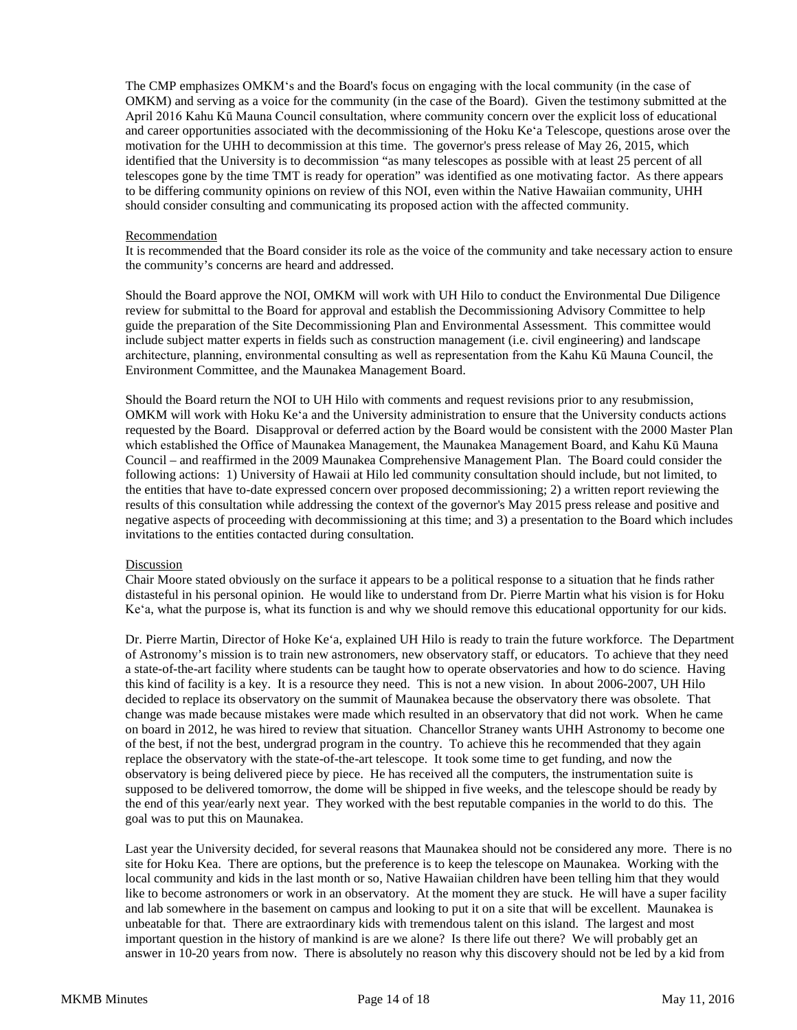The CMP emphasizes OMKMʻs and the Board's focus on engaging with the local community (in the case of OMKM) and serving as a voice for the community (in the case of the Board). Given the testimony submitted at the April 2016 Kahu Kū Mauna Council consultation, where community concern over the explicit loss of educational and career opportunities associated with the decommissioning of the Hoku Keʻa Telescope, questions arose over the motivation for the UHH to decommission at this time. The governor's press release of May 26, 2015, which identified that the University is to decommission "as many telescopes as possible with at least 25 percent of all telescopes gone by the time TMT is ready for operation" was identified as one motivating factor. As there appears to be differing community opinions on review of this NOI, even within the Native Hawaiian community, UHH should consider consulting and communicating its proposed action with the affected community.

#### Recommendation

It is recommended that the Board consider its role as the voice of the community and take necessary action to ensure the community's concerns are heard and addressed.

Should the Board approve the NOI, OMKM will work with UH Hilo to conduct the Environmental Due Diligence review for submittal to the Board for approval and establish the Decommissioning Advisory Committee to help guide the preparation of the Site Decommissioning Plan and Environmental Assessment. This committee would include subject matter experts in fields such as construction management (i.e. civil engineering) and landscape architecture, planning, environmental consulting as well as representation from the Kahu Kū Mauna Council, the Environment Committee, and the Maunakea Management Board.

Should the Board return the NOI to UH Hilo with comments and request revisions prior to any resubmission, OMKM will work with Hoku Keʻa and the University administration to ensure that the University conducts actions requested by the Board. Disapproval or deferred action by the Board would be consistent with the 2000 Master Plan which established the Office of Maunakea Management, the Maunakea Management Board, and Kahu Kū Mauna Council – and reaffirmed in the 2009 Maunakea Comprehensive Management Plan. The Board could consider the following actions: 1) University of Hawaii at Hilo led community consultation should include, but not limited, to the entities that have to-date expressed concern over proposed decommissioning; 2) a written report reviewing the results of this consultation while addressing the context of the governor's May 2015 press release and positive and negative aspects of proceeding with decommissioning at this time; and 3) a presentation to the Board which includes invitations to the entities contacted during consultation.

## Discussion

Chair Moore stated obviously on the surface it appears to be a political response to a situation that he finds rather distasteful in his personal opinion. He would like to understand from Dr. Pierre Martin what his vision is for Hoku Keʻa, what the purpose is, what its function is and why we should remove this educational opportunity for our kids.

Dr. Pierre Martin, Director of Hoke Ke'a, explained UH Hilo is ready to train the future workforce. The Department of Astronomy's mission is to train new astronomers, new observatory staff, or educators. To achieve that they need a state-of-the-art facility where students can be taught how to operate observatories and how to do science. Having this kind of facility is a key. It is a resource they need. This is not a new vision. In about 2006-2007, UH Hilo decided to replace its observatory on the summit of Maunakea because the observatory there was obsolete. That change was made because mistakes were made which resulted in an observatory that did not work. When he came on board in 2012, he was hired to review that situation. Chancellor Straney wants UHH Astronomy to become one of the best, if not the best, undergrad program in the country. To achieve this he recommended that they again replace the observatory with the state-of-the-art telescope. It took some time to get funding, and now the observatory is being delivered piece by piece. He has received all the computers, the instrumentation suite is supposed to be delivered tomorrow, the dome will be shipped in five weeks, and the telescope should be ready by the end of this year/early next year. They worked with the best reputable companies in the world to do this. The goal was to put this on Maunakea.

Last year the University decided, for several reasons that Maunakea should not be considered any more. There is no site for Hoku Kea. There are options, but the preference is to keep the telescope on Maunakea. Working with the local community and kids in the last month or so, Native Hawaiian children have been telling him that they would like to become astronomers or work in an observatory. At the moment they are stuck. He will have a super facility and lab somewhere in the basement on campus and looking to put it on a site that will be excellent. Maunakea is unbeatable for that. There are extraordinary kids with tremendous talent on this island. The largest and most important question in the history of mankind is are we alone? Is there life out there? We will probably get an answer in 10-20 years from now. There is absolutely no reason why this discovery should not be led by a kid from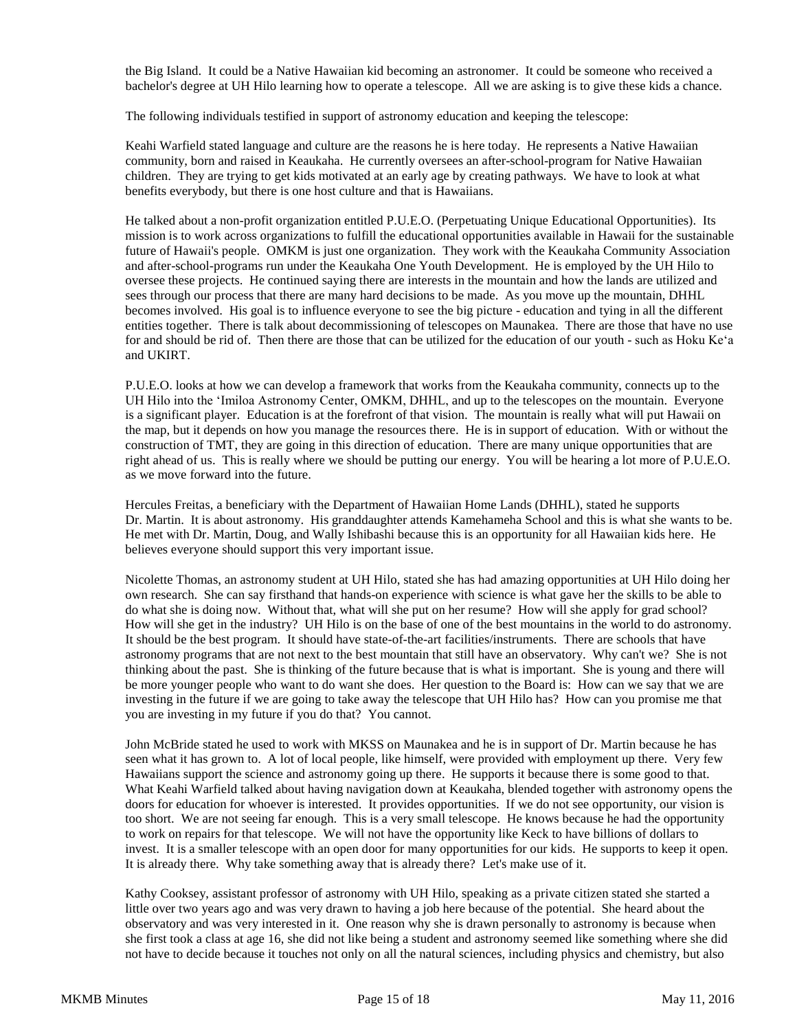the Big Island. It could be a Native Hawaiian kid becoming an astronomer. It could be someone who received a bachelor's degree at UH Hilo learning how to operate a telescope. All we are asking is to give these kids a chance.

The following individuals testified in support of astronomy education and keeping the telescope:

Keahi Warfield stated language and culture are the reasons he is here today. He represents a Native Hawaiian community, born and raised in Keaukaha. He currently oversees an after-school-program for Native Hawaiian children. They are trying to get kids motivated at an early age by creating pathways. We have to look at what benefits everybody, but there is one host culture and that is Hawaiians.

He talked about a non-profit organization entitled P.U.E.O. (Perpetuating Unique Educational Opportunities). Its mission is to work across organizations to fulfill the educational opportunities available in Hawaii for the sustainable future of Hawaii's people. OMKM is just one organization. They work with the Keaukaha Community Association and after-school-programs run under the Keaukaha One Youth Development. He is employed by the UH Hilo to oversee these projects. He continued saying there are interests in the mountain and how the lands are utilized and sees through our process that there are many hard decisions to be made. As you move up the mountain, DHHL becomes involved. His goal is to influence everyone to see the big picture - education and tying in all the different entities together. There is talk about decommissioning of telescopes on Maunakea. There are those that have no use for and should be rid of. Then there are those that can be utilized for the education of our youth - such as Hoku Keʻa and UKIRT.

P.U.E.O. looks at how we can develop a framework that works from the Keaukaha community, connects up to the UH Hilo into the ʻImiloa Astronomy Center, OMKM, DHHL, and up to the telescopes on the mountain. Everyone is a significant player. Education is at the forefront of that vision. The mountain is really what will put Hawaii on the map, but it depends on how you manage the resources there. He is in support of education. With or without the construction of TMT, they are going in this direction of education. There are many unique opportunities that are right ahead of us. This is really where we should be putting our energy. You will be hearing a lot more of P.U.E.O. as we move forward into the future.

Hercules Freitas, a beneficiary with the Department of Hawaiian Home Lands (DHHL), stated he supports Dr. Martin. It is about astronomy. His granddaughter attends Kamehameha School and this is what she wants to be. He met with Dr. Martin, Doug, and Wally Ishibashi because this is an opportunity for all Hawaiian kids here. He believes everyone should support this very important issue.

Nicolette Thomas, an astronomy student at UH Hilo, stated she has had amazing opportunities at UH Hilo doing her own research. She can say firsthand that hands-on experience with science is what gave her the skills to be able to do what she is doing now. Without that, what will she put on her resume? How will she apply for grad school? How will she get in the industry? UH Hilo is on the base of one of the best mountains in the world to do astronomy. It should be the best program. It should have state-of-the-art facilities/instruments. There are schools that have astronomy programs that are not next to the best mountain that still have an observatory. Why can't we? She is not thinking about the past. She is thinking of the future because that is what is important. She is young and there will be more younger people who want to do want she does. Her question to the Board is: How can we say that we are investing in the future if we are going to take away the telescope that UH Hilo has? How can you promise me that you are investing in my future if you do that? You cannot.

John McBride stated he used to work with MKSS on Maunakea and he is in support of Dr. Martin because he has seen what it has grown to. A lot of local people, like himself, were provided with employment up there. Very few Hawaiians support the science and astronomy going up there. He supports it because there is some good to that. What Keahi Warfield talked about having navigation down at Keaukaha, blended together with astronomy opens the doors for education for whoever is interested. It provides opportunities. If we do not see opportunity, our vision is too short. We are not seeing far enough. This is a very small telescope. He knows because he had the opportunity to work on repairs for that telescope. We will not have the opportunity like Keck to have billions of dollars to invest. It is a smaller telescope with an open door for many opportunities for our kids. He supports to keep it open. It is already there. Why take something away that is already there? Let's make use of it.

Kathy Cooksey, assistant professor of astronomy with UH Hilo, speaking as a private citizen stated she started a little over two years ago and was very drawn to having a job here because of the potential. She heard about the observatory and was very interested in it. One reason why she is drawn personally to astronomy is because when she first took a class at age 16, she did not like being a student and astronomy seemed like something where she did not have to decide because it touches not only on all the natural sciences, including physics and chemistry, but also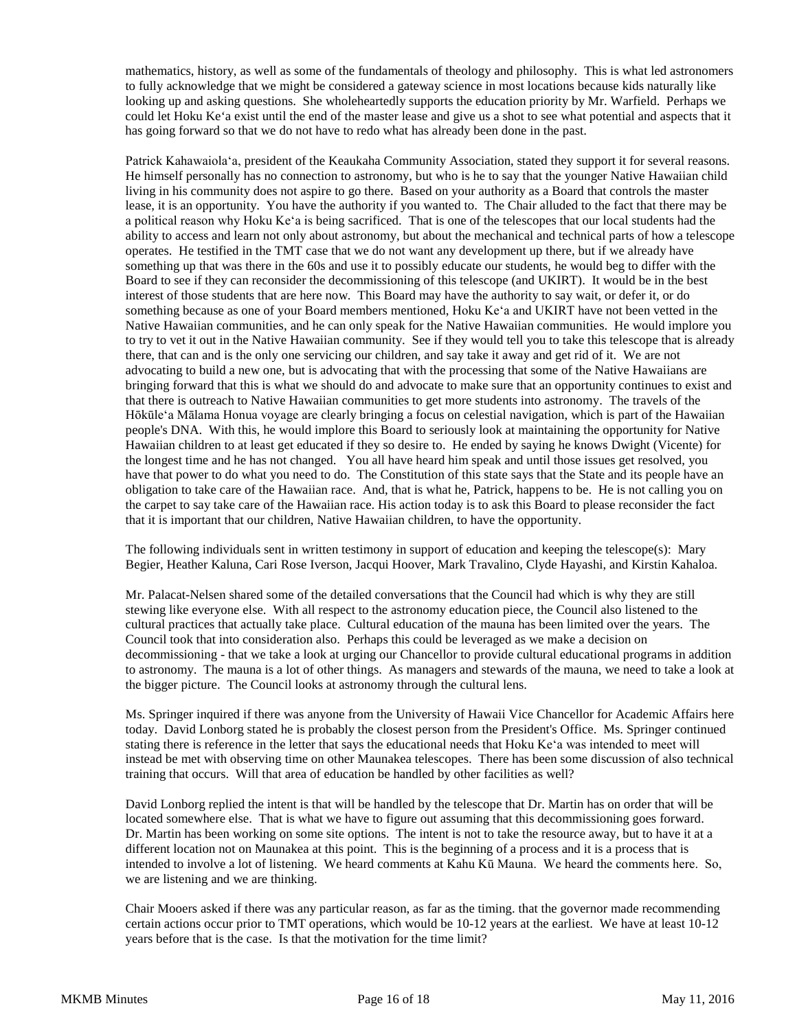mathematics, history, as well as some of the fundamentals of theology and philosophy. This is what led astronomers to fully acknowledge that we might be considered a gateway science in most locations because kids naturally like looking up and asking questions. She wholeheartedly supports the education priority by Mr. Warfield. Perhaps we could let Hoku Ke'a exist until the end of the master lease and give us a shot to see what potential and aspects that it has going forward so that we do not have to redo what has already been done in the past.

Patrick Kahawaiolaʻa, president of the Keaukaha Community Association, stated they support it for several reasons. He himself personally has no connection to astronomy, but who is he to say that the younger Native Hawaiian child living in his community does not aspire to go there. Based on your authority as a Board that controls the master lease, it is an opportunity. You have the authority if you wanted to. The Chair alluded to the fact that there may be a political reason why Hoku Keʻa is being sacrificed. That is one of the telescopes that our local students had the ability to access and learn not only about astronomy, but about the mechanical and technical parts of how a telescope operates. He testified in the TMT case that we do not want any development up there, but if we already have something up that was there in the 60s and use it to possibly educate our students, he would beg to differ with the Board to see if they can reconsider the decommissioning of this telescope (and UKIRT). It would be in the best interest of those students that are here now. This Board may have the authority to say wait, or defer it, or do something because as one of your Board members mentioned, Hoku Keʻa and UKIRT have not been vetted in the Native Hawaiian communities, and he can only speak for the Native Hawaiian communities. He would implore you to try to vet it out in the Native Hawaiian community. See if they would tell you to take this telescope that is already there, that can and is the only one servicing our children, and say take it away and get rid of it. We are not advocating to build a new one, but is advocating that with the processing that some of the Native Hawaiians are bringing forward that this is what we should do and advocate to make sure that an opportunity continues to exist and that there is outreach to Native Hawaiian communities to get more students into astronomy. The travels of the Hōkūleʻa Mālama Honua voyage are clearly bringing a focus on celestial navigation, which is part of the Hawaiian people's DNA. With this, he would implore this Board to seriously look at maintaining the opportunity for Native Hawaiian children to at least get educated if they so desire to. He ended by saying he knows Dwight (Vicente) for the longest time and he has not changed. You all have heard him speak and until those issues get resolved, you have that power to do what you need to do. The Constitution of this state says that the State and its people have an obligation to take care of the Hawaiian race. And, that is what he, Patrick, happens to be. He is not calling you on the carpet to say take care of the Hawaiian race. His action today is to ask this Board to please reconsider the fact that it is important that our children, Native Hawaiian children, to have the opportunity.

The following individuals sent in written testimony in support of education and keeping the telescope(s): Mary Begier, Heather Kaluna, Cari Rose Iverson, Jacqui Hoover, Mark Travalino, Clyde Hayashi, and Kirstin Kahaloa.

Mr. Palacat-Nelsen shared some of the detailed conversations that the Council had which is why they are still stewing like everyone else. With all respect to the astronomy education piece, the Council also listened to the cultural practices that actually take place. Cultural education of the mauna has been limited over the years. The Council took that into consideration also. Perhaps this could be leveraged as we make a decision on decommissioning - that we take a look at urging our Chancellor to provide cultural educational programs in addition to astronomy. The mauna is a lot of other things. As managers and stewards of the mauna, we need to take a look at the bigger picture. The Council looks at astronomy through the cultural lens.

Ms. Springer inquired if there was anyone from the University of Hawaii Vice Chancellor for Academic Affairs here today. David Lonborg stated he is probably the closest person from the President's Office. Ms. Springer continued stating there is reference in the letter that says the educational needs that Hoku Keʻa was intended to meet will instead be met with observing time on other Maunakea telescopes. There has been some discussion of also technical training that occurs. Will that area of education be handled by other facilities as well?

David Lonborg replied the intent is that will be handled by the telescope that Dr. Martin has on order that will be located somewhere else. That is what we have to figure out assuming that this decommissioning goes forward. Dr. Martin has been working on some site options. The intent is not to take the resource away, but to have it at a different location not on Maunakea at this point. This is the beginning of a process and it is a process that is intended to involve a lot of listening. We heard comments at Kahu Kū Mauna. We heard the comments here. So, we are listening and we are thinking.

Chair Mooers asked if there was any particular reason, as far as the timing. that the governor made recommending certain actions occur prior to TMT operations, which would be 10-12 years at the earliest. We have at least 10-12 years before that is the case. Is that the motivation for the time limit?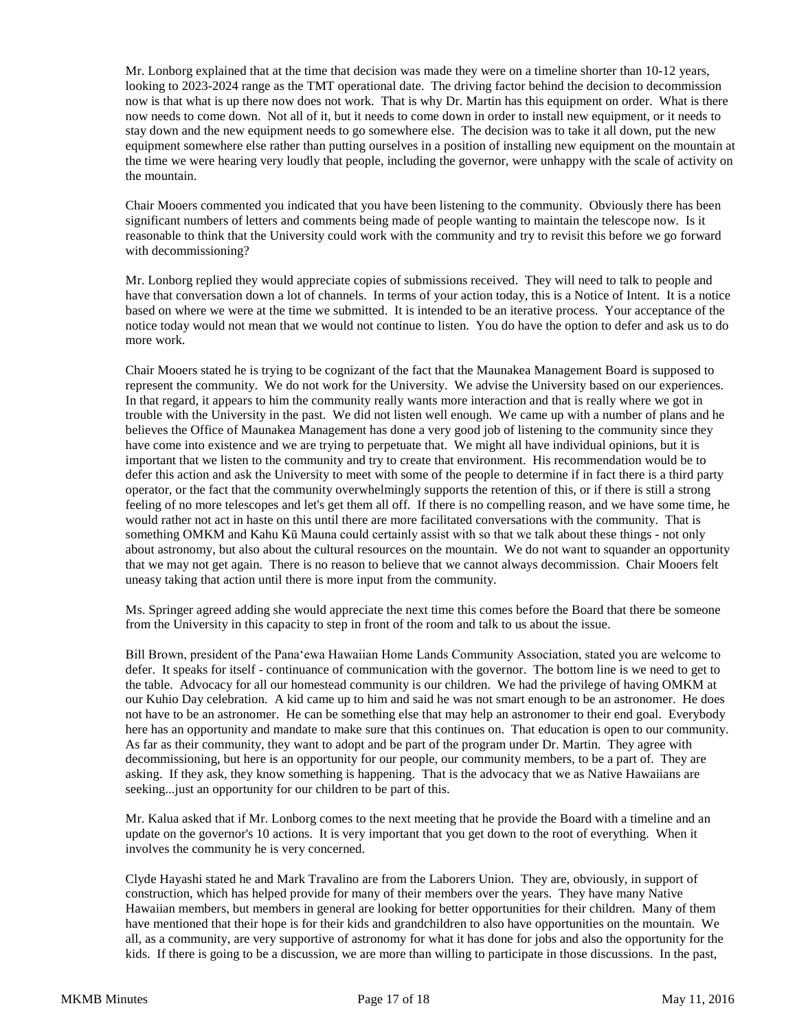Mr. Lonborg explained that at the time that decision was made they were on a timeline shorter than 10-12 years, looking to 2023-2024 range as the TMT operational date. The driving factor behind the decision to decommission now is that what is up there now does not work. That is why Dr. Martin has this equipment on order. What is there now needs to come down. Not all of it, but it needs to come down in order to install new equipment, or it needs to stay down and the new equipment needs to go somewhere else. The decision was to take it all down, put the new equipment somewhere else rather than putting ourselves in a position of installing new equipment on the mountain at the time we were hearing very loudly that people, including the governor, were unhappy with the scale of activity on the mountain.

Chair Mooers commented you indicated that you have been listening to the community. Obviously there has been significant numbers of letters and comments being made of people wanting to maintain the telescope now. Is it reasonable to think that the University could work with the community and try to revisit this before we go forward with decommissioning?

Mr. Lonborg replied they would appreciate copies of submissions received. They will need to talk to people and have that conversation down a lot of channels. In terms of your action today, this is a Notice of Intent. It is a notice based on where we were at the time we submitted. It is intended to be an iterative process. Your acceptance of the notice today would not mean that we would not continue to listen. You do have the option to defer and ask us to do more work.

Chair Mooers stated he is trying to be cognizant of the fact that the Maunakea Management Board is supposed to represent the community. We do not work for the University. We advise the University based on our experiences. In that regard, it appears to him the community really wants more interaction and that is really where we got in trouble with the University in the past. We did not listen well enough. We came up with a number of plans and he believes the Office of Maunakea Management has done a very good job of listening to the community since they have come into existence and we are trying to perpetuate that. We might all have individual opinions, but it is important that we listen to the community and try to create that environment. His recommendation would be to defer this action and ask the University to meet with some of the people to determine if in fact there is a third party operator, or the fact that the community overwhelmingly supports the retention of this, or if there is still a strong feeling of no more telescopes and let's get them all off. If there is no compelling reason, and we have some time, he would rather not act in haste on this until there are more facilitated conversations with the community. That is something OMKM and Kahu Kū Mauna could certainly assist with so that we talk about these things - not only about astronomy, but also about the cultural resources on the mountain. We do not want to squander an opportunity that we may not get again. There is no reason to believe that we cannot always decommission. Chair Mooers felt uneasy taking that action until there is more input from the community.

Ms. Springer agreed adding she would appreciate the next time this comes before the Board that there be someone from the University in this capacity to step in front of the room and talk to us about the issue.

Bill Brown, president of the Panaʻewa Hawaiian Home Lands Community Association, stated you are welcome to defer. It speaks for itself - continuance of communication with the governor. The bottom line is we need to get to the table. Advocacy for all our homestead community is our children. We had the privilege of having OMKM at our Kuhio Day celebration. A kid came up to him and said he was not smart enough to be an astronomer. He does not have to be an astronomer. He can be something else that may help an astronomer to their end goal. Everybody here has an opportunity and mandate to make sure that this continues on. That education is open to our community. As far as their community, they want to adopt and be part of the program under Dr. Martin. They agree with decommissioning, but here is an opportunity for our people, our community members, to be a part of. They are asking. If they ask, they know something is happening. That is the advocacy that we as Native Hawaiians are seeking...just an opportunity for our children to be part of this.

Mr. Kalua asked that if Mr. Lonborg comes to the next meeting that he provide the Board with a timeline and an update on the governor's 10 actions. It is very important that you get down to the root of everything. When it involves the community he is very concerned.

Clyde Hayashi stated he and Mark Travalino are from the Laborers Union. They are, obviously, in support of construction, which has helped provide for many of their members over the years. They have many Native Hawaiian members, but members in general are looking for better opportunities for their children. Many of them have mentioned that their hope is for their kids and grandchildren to also have opportunities on the mountain. We all, as a community, are very supportive of astronomy for what it has done for jobs and also the opportunity for the kids. If there is going to be a discussion, we are more than willing to participate in those discussions. In the past,